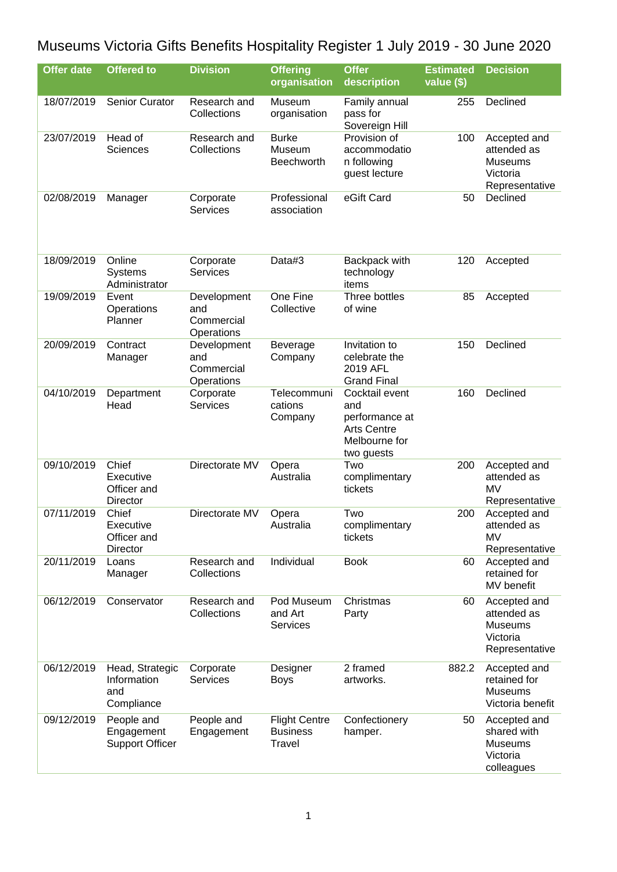## Museums Victoria Gifts Benefits Hospitality Register 1 July 2019 - 30 June 2020

| <b>Offer date</b> | <b>Offered to</b>                                   | <b>Division</b>                                | <b>Offering</b><br>organisation                          | <b>Offer</b><br>description                                                                  | <b>Estimated</b><br>value (\$) | <b>Decision</b>                                                             |
|-------------------|-----------------------------------------------------|------------------------------------------------|----------------------------------------------------------|----------------------------------------------------------------------------------------------|--------------------------------|-----------------------------------------------------------------------------|
| 18/07/2019        | Senior Curator                                      | Research and<br>Collections                    | Museum<br>organisation                                   | Family annual<br>pass for<br>Sovereign Hill                                                  | 255                            | Declined                                                                    |
| 23/07/2019        | Head of<br>Sciences                                 | Research and<br>Collections                    | <b>Burke</b><br>Museum<br>Beechworth                     | Provision of<br>accommodatio<br>n following<br>guest lecture                                 | 100                            | Accepted and<br>attended as<br><b>Museums</b><br>Victoria<br>Representative |
| 02/08/2019        | Manager                                             | Corporate<br><b>Services</b>                   | Professional<br>association                              | eGift Card                                                                                   | 50                             | Declined                                                                    |
| 18/09/2019        | Online<br><b>Systems</b><br>Administrator           | Corporate<br><b>Services</b>                   | Data#3                                                   | Backpack with<br>technology<br>items                                                         | 120                            | Accepted                                                                    |
| 19/09/2019        | Event<br>Operations<br>Planner                      | Development<br>and<br>Commercial<br>Operations | One Fine<br>Collective                                   | Three bottles<br>of wine                                                                     | 85                             | Accepted                                                                    |
| 20/09/2019        | Contract<br>Manager                                 | Development<br>and<br>Commercial<br>Operations | Beverage<br>Company                                      | Invitation to<br>celebrate the<br>2019 AFL<br><b>Grand Final</b>                             | 150                            | Declined                                                                    |
| 04/10/2019        | Department<br>Head                                  | Corporate<br><b>Services</b>                   | Telecommuni<br>cations<br>Company                        | Cocktail event<br>and<br>performance at<br><b>Arts Centre</b><br>Melbourne for<br>two guests | 160                            | Declined                                                                    |
| 09/10/2019        | Chief<br>Executive<br>Officer and<br>Director       | Directorate MV                                 | Opera<br>Australia                                       | Two<br>complimentary<br>tickets                                                              | 200                            | Accepted and<br>attended as<br><b>MV</b><br>Representative                  |
| 07/11/2019        | Chief<br>Executive<br>Officer and<br>Director       | Directorate MV                                 | Opera<br>Australia                                       | Two<br>complimentary<br>tickets                                                              | 200                            | Accepted and<br>attended as<br><b>MV</b><br>Representative                  |
| 20/11/2019        | Loans<br>Manager                                    | Research and<br>Collections                    | Individual                                               | <b>Book</b>                                                                                  | 60                             | Accepted and<br>retained for<br>MV benefit                                  |
| 06/12/2019        | Conservator                                         | Research and<br>Collections                    | Pod Museum<br>and Art<br><b>Services</b>                 | Christmas<br>Party                                                                           | 60                             | Accepted and<br>attended as<br><b>Museums</b><br>Victoria<br>Representative |
| 06/12/2019        | Head, Strategic<br>Information<br>and<br>Compliance | Corporate<br><b>Services</b>                   | Designer<br><b>Boys</b>                                  | 2 framed<br>artworks.                                                                        | 882.2                          | Accepted and<br>retained for<br><b>Museums</b><br>Victoria benefit          |
| 09/12/2019        | People and<br>Engagement<br><b>Support Officer</b>  | People and<br>Engagement                       | <b>Flight Centre</b><br><b>Business</b><br><b>Travel</b> | Confectionery<br>hamper.                                                                     | 50                             | Accepted and<br>shared with<br>Museums<br>Victoria<br>colleagues            |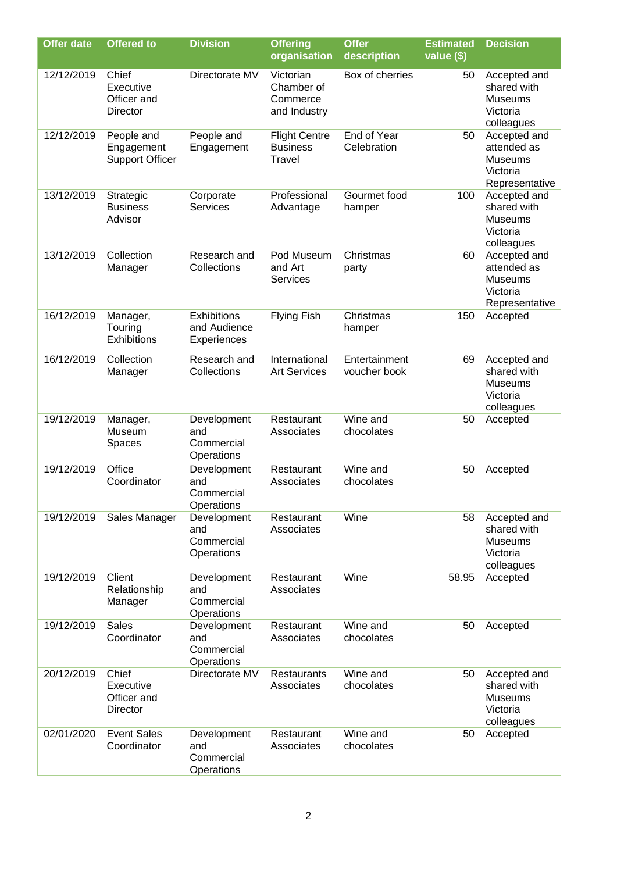| <b>Offer date</b> | <b>Offered to</b>                                    | <b>Division</b>                                   | <b>Offering</b><br>organisation                          | <b>Offer</b><br>description   | <b>Estimated</b><br>value (\$) | <b>Decision</b>                                                             |
|-------------------|------------------------------------------------------|---------------------------------------------------|----------------------------------------------------------|-------------------------------|--------------------------------|-----------------------------------------------------------------------------|
| 12/12/2019        | Chief<br>Executive<br>Officer and<br><b>Director</b> | Directorate MV                                    | Victorian<br>Chamber of<br>Commerce<br>and Industry      | Box of cherries               | 50                             | Accepted and<br>shared with<br><b>Museums</b><br>Victoria<br>colleagues     |
| 12/12/2019        | People and<br>Engagement<br><b>Support Officer</b>   | People and<br>Engagement                          | <b>Flight Centre</b><br><b>Business</b><br><b>Travel</b> | End of Year<br>Celebration    | 50                             | Accepted and<br>attended as<br>Museums<br>Victoria<br>Representative        |
| 13/12/2019        | Strategic<br><b>Business</b><br>Advisor              | Corporate<br><b>Services</b>                      | Professional<br>Advantage                                | Gourmet food<br>hamper        | 100                            | Accepted and<br>shared with<br><b>Museums</b><br>Victoria<br>colleagues     |
| 13/12/2019        | Collection<br>Manager                                | Research and<br>Collections                       | Pod Museum<br>and Art<br>Services                        | Christmas<br>party            | 60                             | Accepted and<br>attended as<br><b>Museums</b><br>Victoria<br>Representative |
| 16/12/2019        | Manager,<br>Touring<br>Exhibitions                   | <b>Exhibitions</b><br>and Audience<br>Experiences | <b>Flying Fish</b>                                       | Christmas<br>hamper           | 150                            | Accepted                                                                    |
| 16/12/2019        | Collection<br>Manager                                | Research and<br>Collections                       | International<br><b>Art Services</b>                     | Entertainment<br>voucher book | 69                             | Accepted and<br>shared with<br>Museums<br>Victoria<br>colleagues            |
| 19/12/2019        | Manager,<br>Museum<br>Spaces                         | Development<br>and<br>Commercial<br>Operations    | Restaurant<br>Associates                                 | Wine and<br>chocolates        | 50                             | Accepted                                                                    |
| 19/12/2019        | <b>Office</b><br>Coordinator                         | Development<br>and<br>Commercial<br>Operations    | Restaurant<br>Associates                                 | Wine and<br>chocolates        | 50                             | Accepted                                                                    |
| 19/12/2019        | Sales Manager                                        | Development<br>and<br>Commercial<br>Operations    | Restaurant<br>Associates                                 | Wine                          | 58                             | Accepted and<br>shared with<br><b>Museums</b><br>Victoria<br>colleagues     |
| 19/12/2019        | Client<br>Relationship<br>Manager                    | Development<br>and<br>Commercial<br>Operations    | Restaurant<br>Associates                                 | Wine                          | 58.95                          | Accepted                                                                    |
| 19/12/2019        | <b>Sales</b><br>Coordinator                          | Development<br>and<br>Commercial<br>Operations    | Restaurant<br>Associates                                 | Wine and<br>chocolates        | 50                             | Accepted                                                                    |
| 20/12/2019        | Chief<br>Executive<br>Officer and<br>Director        | Directorate MV                                    | <b>Restaurants</b><br>Associates                         | Wine and<br>chocolates        | 50                             | Accepted and<br>shared with<br><b>Museums</b><br>Victoria<br>colleagues     |
| 02/01/2020        | <b>Event Sales</b><br>Coordinator                    | Development<br>and<br>Commercial<br>Operations    | Restaurant<br>Associates                                 | Wine and<br>chocolates        | 50                             | Accepted                                                                    |